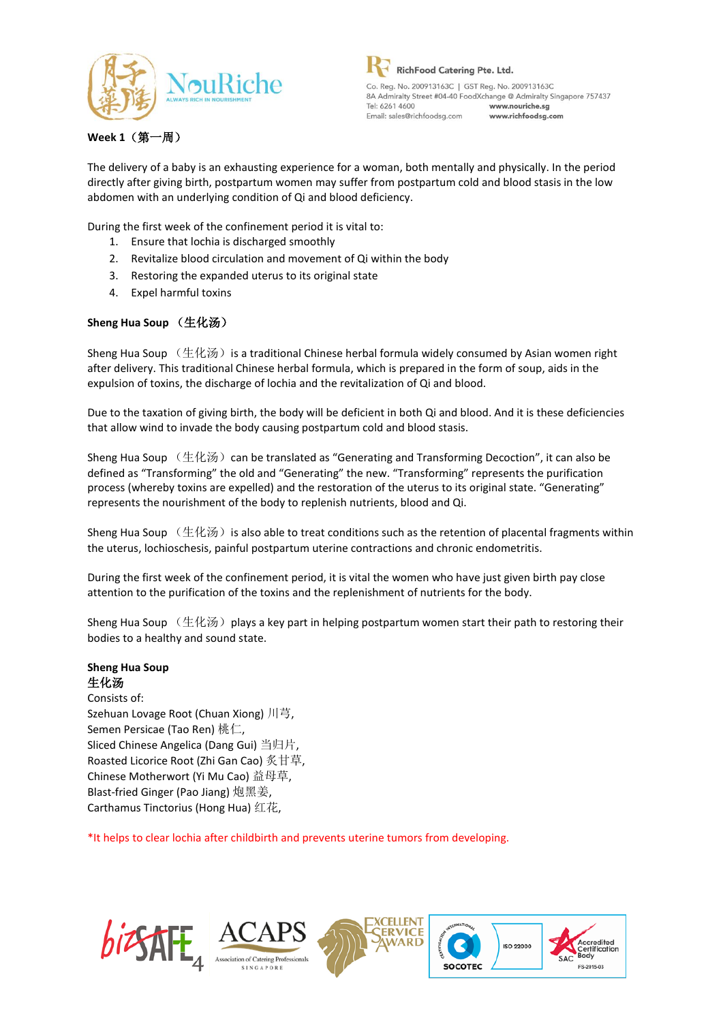

# **Week 1**(第一周)

The delivery of a baby is an exhausting experience for a woman, both mentally and physically. In the period directly after giving birth, postpartum women may suffer from postpartum cold and blood stasis in the low abdomen with an underlying condition of Qi and blood deficiency.

During the first week of the confinement period it is vital to:

- 1. Ensure that lochia is discharged smoothly
- 2. Revitalize blood circulation and movement of Qi within the body
- 3. Restoring the expanded uterus to its original state
- 4. Expel harmful toxins

# **Sheng Hua Soup** (生化汤)

Sheng Hua Soup  $($ 生化汤) is a traditional Chinese herbal formula widely consumed by Asian women right after delivery. This traditional Chinese herbal formula, which is prepared in the form of soup, aids in the expulsion of toxins, the discharge of lochia and the revitalization of Qi and blood.

Due to the taxation of giving birth, the body will be deficient in both Qi and blood. And it is these deficiencies that allow wind to invade the body causing postpartum cold and blood stasis.

Sheng Hua Soup  $(\pm \& \%)$  can be translated as "Generating and Transforming Decoction", it can also be defined as "Transforming" the old and "Generating" the new. "Transforming" represents the purification process (whereby toxins are expelled) and the restoration of the uterus to its original state. "Generating" represents the nourishment of the body to replenish nutrients, blood and Qi.

Sheng Hua Soup  $($ 生化汤) is also able to treat conditions such as the retention of placental fragments within the uterus, lochioschesis, painful postpartum uterine contractions and chronic endometritis.

During the first week of the confinement period, it is vital the women who have just given birth pay close attention to the purification of the toxins and the replenishment of nutrients for the body.

Sheng Hua Soup  $($ 生化汤) plays a key part in helping postpartum women start their path to restoring their bodies to a healthy and sound state.

# **Sheng Hua Soup** 生化汤

Consists of: Szehuan Lovage Root (Chuan Xiong) 川芎, Semen Persicae (Tao Ren) 桃仁, Sliced Chinese Angelica (Dang Gui) 当归片, Roasted Licorice Root (Zhi Gan Cao) 炙甘草, Chinese Motherwort (Yi Mu Cao) 益母草, Blast-fried Ginger (Pao Jiang) 炮黑姜, Carthamus Tinctorius (Hong Hua) 红花,

\*It helps to clear lochia after childbirth and prevents uterine tumors from developing.

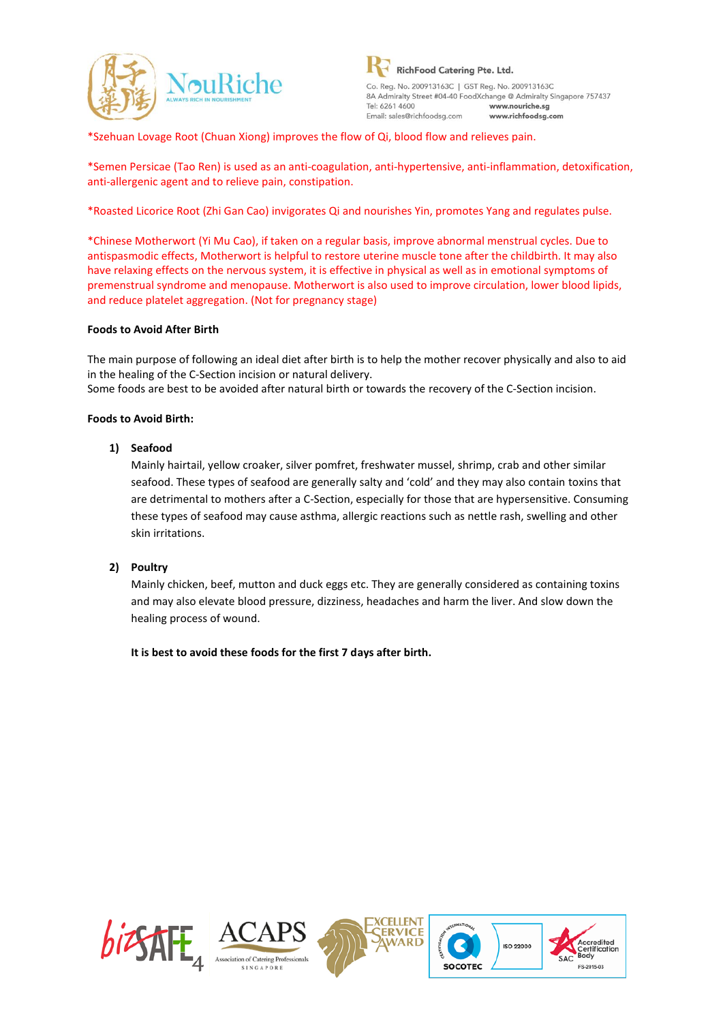

\*Szehuan Lovage Root (Chuan Xiong) improves the flow of Qi, blood flow and relieves pain.

\*Semen Persicae (Tao Ren) is used as an anti-coagulation, anti-hypertensive, anti-inflammation, detoxification, anti-allergenic agent and to relieve pain, constipation.

\*Roasted Licorice Root (Zhi Gan Cao) invigorates Qi and nourishes Yin, promotes Yang and regulates pulse.

\*Chinese Motherwort (Yi Mu Cao), if taken on a regular basis, improve abnormal menstrual cycles. Due to antispasmodic effects, Motherwort is helpful to restore uterine muscle tone after the childbirth. It may also have relaxing effects on the nervous system, it is effective in physical as well as in emotional symptoms of premenstrual syndrome and menopause. Motherwort is also used to improve circulation, lower blood lipids, and reduce platelet aggregation. (Not for pregnancy stage)

#### **Foods to Avoid After Birth**

The main purpose of following an ideal diet after birth is to help the mother recover physically and also to aid in the healing of the C-Section incision or natural delivery. Some foods are best to be avoided after natural birth or towards the recovery of the C-Section incision.

**Foods to Avoid Birth:**

#### **1) Seafood**

Mainly hairtail, yellow croaker, silver pomfret, freshwater mussel, shrimp, crab and other similar seafood. These types of seafood are generally salty and 'cold' and they may also contain toxins that are detrimental to mothers after a C-Section, especially for those that are hypersensitive. Consuming these types of seafood may cause asthma, allergic reactions such as nettle rash, swelling and other skin irritations.

#### **2) Poultry**

Mainly chicken, beef, mutton and duck eggs etc. They are generally considered as containing toxins and may also elevate blood pressure, dizziness, headaches and harm the liver. And slow down the healing process of wound.

**It is best to avoid these foods for the first 7 days after birth.**

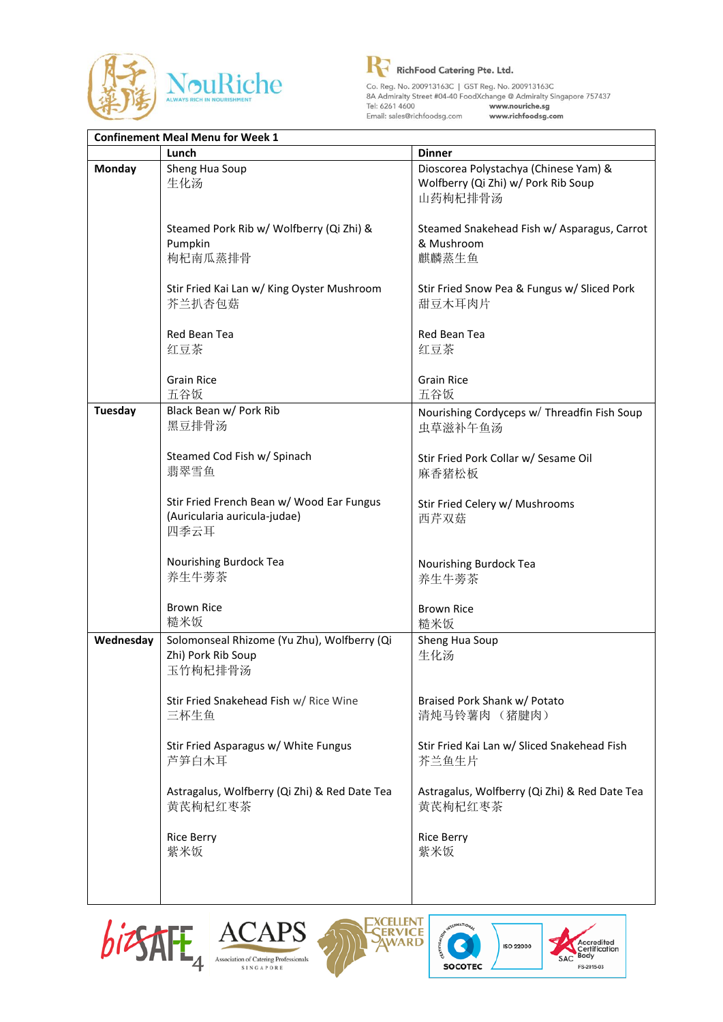



| <b>Confinement Meal Menu for Week 1</b> |                                                                                   |                                                                                         |
|-----------------------------------------|-----------------------------------------------------------------------------------|-----------------------------------------------------------------------------------------|
|                                         | Lunch                                                                             | <b>Dinner</b>                                                                           |
| <b>Monday</b>                           | Sheng Hua Soup<br>生化汤                                                             | Dioscorea Polystachya (Chinese Yam) &<br>Wolfberry (Qi Zhi) w/ Pork Rib Soup<br>山药枸杞排骨汤 |
|                                         | Steamed Pork Rib w/ Wolfberry (Qi Zhi) &<br>Pumpkin<br>枸杞南瓜蒸排骨                    | Steamed Snakehead Fish w/ Asparagus, Carrot<br>& Mushroom<br>麒麟蒸生鱼                      |
|                                         | Stir Fried Kai Lan w/ King Oyster Mushroom<br>芥兰扒杏包菇                              | Stir Fried Snow Pea & Fungus w/ Sliced Pork<br>甜豆木耳肉片                                   |
|                                         | Red Bean Tea<br>红豆茶                                                               | Red Bean Tea<br>红豆茶                                                                     |
|                                         | <b>Grain Rice</b><br>五谷饭                                                          | <b>Grain Rice</b><br>五谷饭                                                                |
| <b>Tuesday</b>                          | Black Bean w/ Pork Rib<br>黑豆排骨汤                                                   | Nourishing Cordyceps w/ Threadfin Fish Soup<br>虫草滋补午鱼汤                                  |
|                                         | Steamed Cod Fish w/ Spinach<br>翡翠雪鱼                                               | Stir Fried Pork Collar w/ Sesame Oil<br>麻香猪松板                                           |
|                                         | Stir Fried French Bean w/ Wood Ear Fungus<br>(Auricularia auricula-judae)<br>四季云耳 | Stir Fried Celery w/ Mushrooms<br>西芹双菇                                                  |
|                                         | Nourishing Burdock Tea<br>养生牛蒡茶                                                   | Nourishing Burdock Tea<br>养生牛蒡茶                                                         |
|                                         | <b>Brown Rice</b><br>糙米饭                                                          | <b>Brown Rice</b><br>糙米饭                                                                |
| Wednesday                               | Solomonseal Rhizome (Yu Zhu), Wolfberry (Qi<br>Zhi) Pork Rib Soup<br>玉竹枸杞排骨汤      | Sheng Hua Soup<br>生化汤                                                                   |
|                                         | Stir Fried Snakehead Fish w/ Rice Wine<br>三杯生鱼                                    | Braised Pork Shank w/ Potato<br>清炖马铃薯肉 (猪腱肉)                                            |
|                                         | Stir Fried Asparagus w/ White Fungus<br>芦笋白木耳                                     | Stir Fried Kai Lan w/ Sliced Snakehead Fish<br>芥兰鱼生片                                    |
|                                         | Astragalus, Wolfberry (Qi Zhi) & Red Date Tea<br>黄芪枸杞红枣茶                          | Astragalus, Wolfberry (Qi Zhi) & Red Date Tea<br>黄芪枸杞红枣茶                                |
|                                         | <b>Rice Berry</b><br>紫米饭                                                          | <b>Rice Berry</b><br>紫米饭                                                                |
|                                         |                                                                                   |                                                                                         |







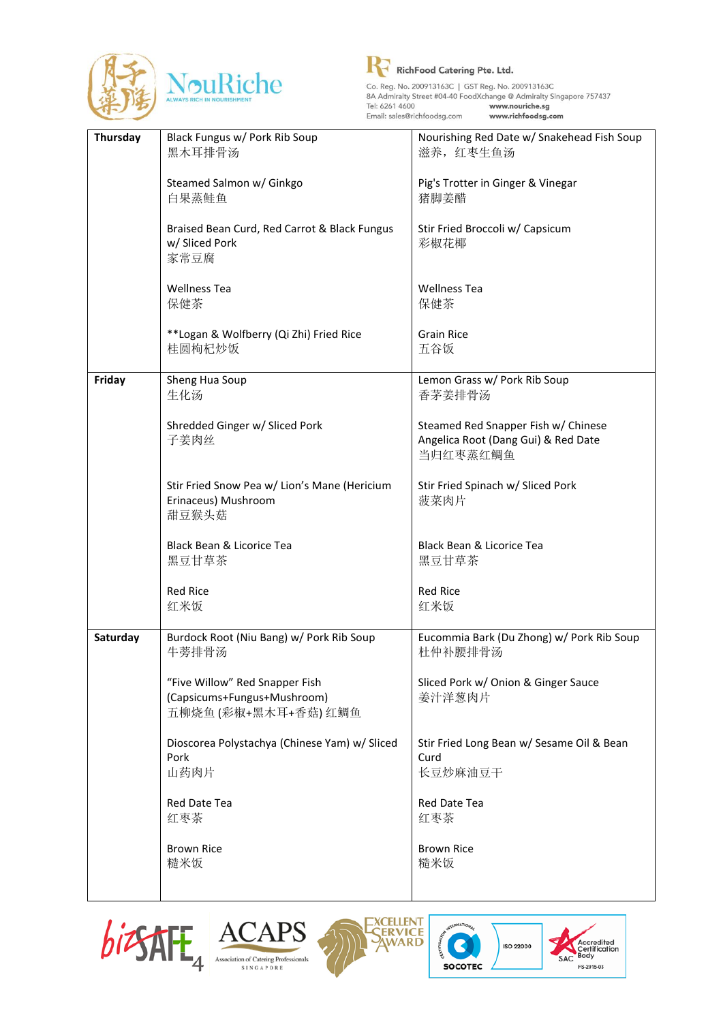



| Thursday | Black Fungus w/ Pork Rib Soup<br>黑木耳排骨汤                        | Nourishing Red Date w/ Snakehead Fish Soup<br>滋养,红枣生鱼汤 |
|----------|----------------------------------------------------------------|--------------------------------------------------------|
|          |                                                                |                                                        |
|          | Steamed Salmon w/ Ginkgo<br>白果蒸鲑鱼                              | Pig's Trotter in Ginger & Vinegar<br>猪脚姜醋              |
|          |                                                                |                                                        |
|          | Braised Bean Curd, Red Carrot & Black Fungus<br>w/ Sliced Pork | Stir Fried Broccoli w/ Capsicum<br>彩椒花椰                |
|          | 家常豆腐                                                           |                                                        |
|          | <b>Wellness Tea</b>                                            | <b>Wellness Tea</b>                                    |
|          | 保健茶                                                            | 保健茶                                                    |
|          | **Logan & Wolfberry (Qi Zhi) Fried Rice                        | <b>Grain Rice</b>                                      |
|          | 桂圆枸杞炒饭                                                         | 五谷饭                                                    |
| Friday   | Sheng Hua Soup                                                 | Lemon Grass w/ Pork Rib Soup                           |
|          | 生化汤                                                            | 香茅姜排骨汤                                                 |
|          | Shredded Ginger w/ Sliced Pork                                 | Steamed Red Snapper Fish w/ Chinese                    |
|          | 子姜肉丝                                                           | Angelica Root (Dang Gui) & Red Date                    |
|          |                                                                | 当归红枣蒸红鲷鱼                                               |
|          | Stir Fried Snow Pea w/ Lion's Mane (Hericium                   | Stir Fried Spinach w/ Sliced Pork                      |
|          | Erinaceus) Mushroom<br>甜豆猴头菇                                   | 菠菜肉片                                                   |
|          |                                                                |                                                        |
|          | Black Bean & Licorice Tea<br>黑豆甘草茶                             | Black Bean & Licorice Tea<br>黑豆甘草茶                     |
|          |                                                                |                                                        |
|          | <b>Red Rice</b><br>红米饭                                         | <b>Red Rice</b><br>红米饭                                 |
|          |                                                                |                                                        |
| Saturday | Burdock Root (Niu Bang) w/ Pork Rib Soup<br>牛蒡排骨汤              | Eucommia Bark (Du Zhong) w/ Pork Rib Soup<br>杜仲补腰排骨汤   |
|          |                                                                |                                                        |
|          | "Five Willow" Red Snapper Fish<br>(Capsicums+Fungus+Mushroom)  | Sliced Pork w/ Onion & Ginger Sauce<br>姜汁洋葱肉片          |
|          | 五柳烧鱼 (彩椒+黑木耳+香菇) 红鲷鱼                                           |                                                        |
|          | Dioscorea Polystachya (Chinese Yam) w/ Sliced                  | Stir Fried Long Bean w/ Sesame Oil & Bean              |
|          | Pork                                                           | Curd                                                   |
|          | 山药肉片                                                           | 长豆炒麻油豆干                                                |
|          | Red Date Tea                                                   | Red Date Tea                                           |
|          | 红枣茶                                                            | 红枣茶                                                    |
|          | <b>Brown Rice</b>                                              | <b>Brown Rice</b>                                      |
|          | 糙米饭                                                            | 糙米饭                                                    |
|          |                                                                |                                                        |







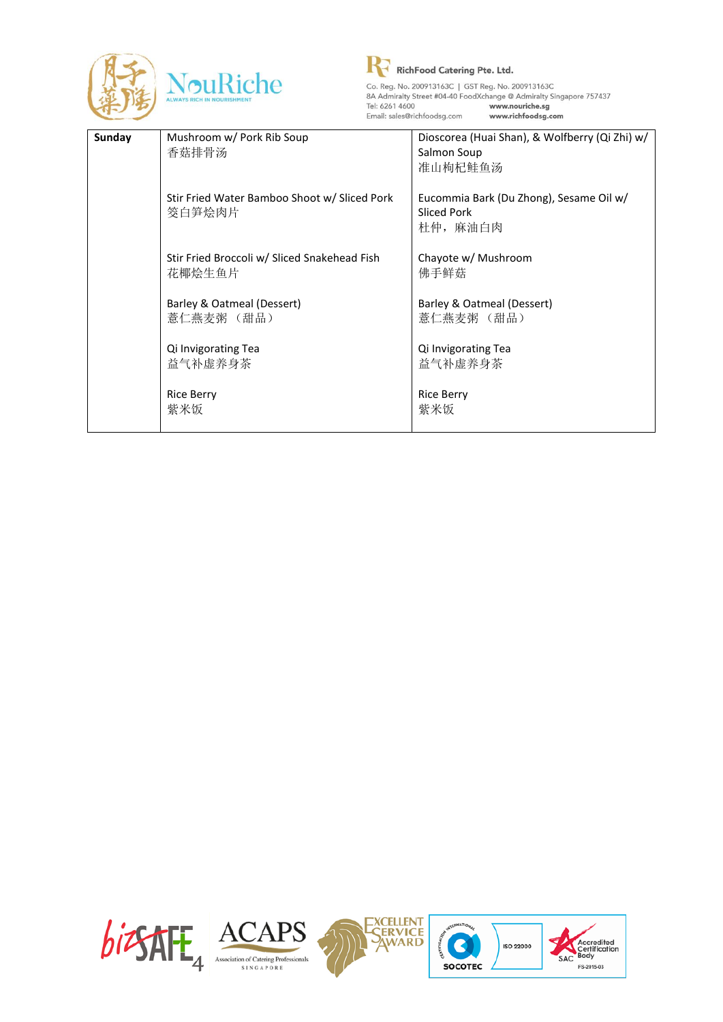



| Sunday | Mushroom w/ Pork Rib Soup<br>香菇排骨汤                     | Dioscorea (Huai Shan), & Wolfberry (Qi Zhi) w/<br>Salmon Soup<br>准山枸杞鲑鱼汤  |
|--------|--------------------------------------------------------|---------------------------------------------------------------------------|
|        | Stir Fried Water Bamboo Shoot w/ Sliced Pork<br>筊白笋烩肉片 | Eucommia Bark (Du Zhong), Sesame Oil w/<br><b>Sliced Pork</b><br>杜仲, 麻油白肉 |
|        | Stir Fried Broccoli w/ Sliced Snakehead Fish<br>花椰烩生鱼片 | Chayote w/ Mushroom<br>佛手鲜菇                                               |
|        | Barley & Oatmeal (Dessert)<br>薏仁燕麦粥 (甜品)               | Barley & Oatmeal (Dessert)<br>薏仁燕麦粥 (甜品)                                  |
|        | Qi Invigorating Tea<br>益气补虚养身茶                         | Qi Invigorating Tea<br>益气补虚养身茶                                            |
|        | <b>Rice Berry</b><br>紫米饭                               | <b>Rice Berry</b><br>紫米饭                                                  |

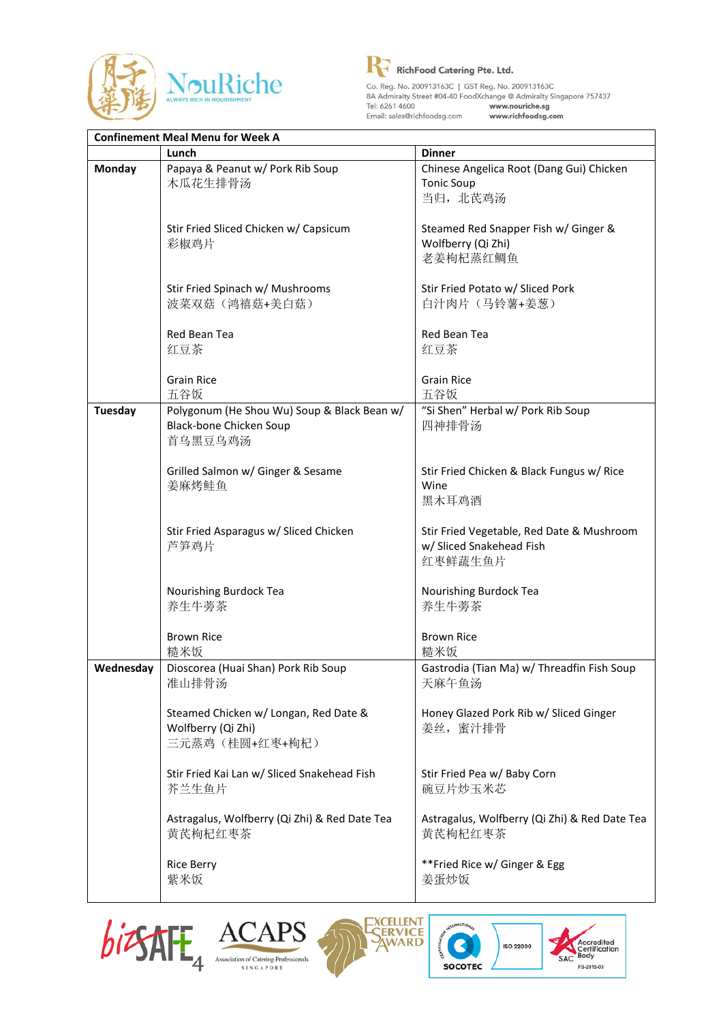



www.richfoodsg.com

|                | <b>Confinement Meal Menu for Week A</b>                                           |                                                                                  |  |
|----------------|-----------------------------------------------------------------------------------|----------------------------------------------------------------------------------|--|
|                | Lunch                                                                             | <b>Dinner</b>                                                                    |  |
| <b>Monday</b>  | Papaya & Peanut w/ Pork Rib Soup<br>木瓜花生排骨汤                                       | Chinese Angelica Root (Dang Gui) Chicken<br><b>Tonic Soup</b><br>当归, 北芪鸡汤        |  |
|                | Stir Fried Sliced Chicken w/ Capsicum<br>彩椒鸡片                                     | Steamed Red Snapper Fish w/ Ginger &<br>Wolfberry (Qi Zhi)<br>老姜枸杞蒸红鲷鱼           |  |
|                | Stir Fried Spinach w/ Mushrooms<br>波菜双菇(鸿禧菇+美白菇)                                  | Stir Fried Potato w/ Sliced Pork<br>白汁肉片(马铃薯+姜葱)                                 |  |
|                | Red Bean Tea<br>红豆茶                                                               | Red Bean Tea<br>红豆茶                                                              |  |
|                | <b>Grain Rice</b><br>五谷饭                                                          | <b>Grain Rice</b><br>五谷饭                                                         |  |
| <b>Tuesday</b> | Polygonum (He Shou Wu) Soup & Black Bean w/<br>Black-bone Chicken Soup<br>首乌黑豆乌鸡汤 | "Si Shen" Herbal w/ Pork Rib Soup<br>四神排骨汤                                       |  |
|                | Grilled Salmon w/ Ginger & Sesame<br>姜麻烤鲑鱼                                        | Stir Fried Chicken & Black Fungus w/ Rice<br>Wine<br>黑木耳鸡酒                       |  |
|                | Stir Fried Asparagus w/ Sliced Chicken<br>芦笋鸡片                                    | Stir Fried Vegetable, Red Date & Mushroom<br>w/ Sliced Snakehead Fish<br>红枣鲜蔬生鱼片 |  |
|                | Nourishing Burdock Tea<br>养生牛蒡茶                                                   | Nourishing Burdock Tea<br>养生牛蒡茶                                                  |  |
|                | <b>Brown Rice</b><br>糙米饭                                                          | <b>Brown Rice</b><br>糙米饭                                                         |  |
| Wednesday      | Dioscorea (Huai Shan) Pork Rib Soup<br>准山排骨汤                                      | Gastrodia (Tian Ma) w/ Threadfin Fish Soup<br>天麻午鱼汤                              |  |
|                | Steamed Chicken w/ Longan, Red Date &<br>Wolfberry (Qi Zhi)<br>三元蒸鸡(桂圆+红枣+枸杞)     | Honey Glazed Pork Rib w/ Sliced Ginger<br>姜丝, 蜜汁排骨                               |  |
|                | Stir Fried Kai Lan w/ Sliced Snakehead Fish<br>芥兰生鱼片                              | Stir Fried Pea w/ Baby Corn<br>碗豆片炒玉米芯                                           |  |
|                | Astragalus, Wolfberry (Qi Zhi) & Red Date Tea<br>黄芪枸杞红枣茶                          | Astragalus, Wolfberry (Qi Zhi) & Red Date Tea<br>黄芪枸杞红枣茶                         |  |
|                | <b>Rice Berry</b><br>紫米饭                                                          | **Fried Rice w/ Ginger & Egg<br>姜蛋炒饭                                             |  |







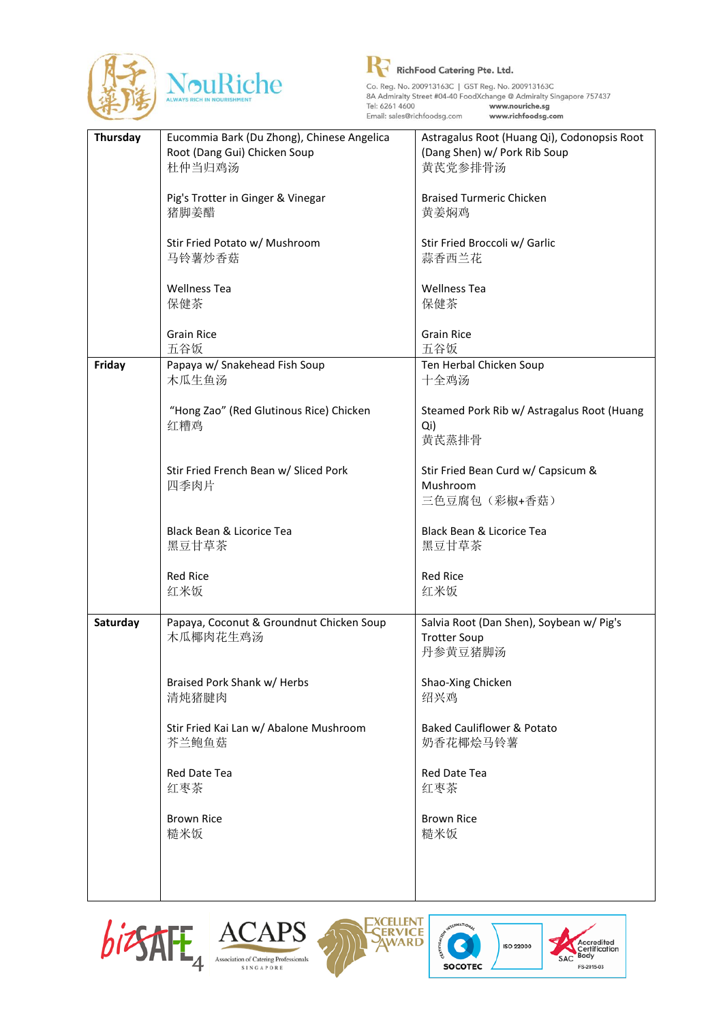



| Thursday | Eucommia Bark (Du Zhong), Chinese Angelica | Astragalus Root (Huang Qi), Codonopsis Root |
|----------|--------------------------------------------|---------------------------------------------|
|          | Root (Dang Gui) Chicken Soup               | (Dang Shen) w/ Pork Rib Soup                |
|          | 杜仲当归鸡汤                                     | 黄芪党参排骨汤                                     |
|          |                                            |                                             |
|          | Pig's Trotter in Ginger & Vinegar          | <b>Braised Turmeric Chicken</b>             |
|          | 猪脚姜醋                                       | 黄姜焖鸡                                        |
|          |                                            |                                             |
|          | Stir Fried Potato w/ Mushroom              | Stir Fried Broccoli w/ Garlic               |
|          | 马铃薯炒香菇                                     | 蒜香西兰花                                       |
|          |                                            |                                             |
|          | <b>Wellness Tea</b>                        | <b>Wellness Tea</b>                         |
|          | 保健茶                                        | 保健茶                                         |
|          |                                            |                                             |
|          | <b>Grain Rice</b>                          | <b>Grain Rice</b>                           |
|          |                                            |                                             |
|          | 五谷饭                                        | 五谷饭                                         |
| Friday   | Papaya w/ Snakehead Fish Soup              | Ten Herbal Chicken Soup                     |
|          | 木瓜生鱼汤                                      | 十全鸡汤                                        |
|          |                                            |                                             |
|          | "Hong Zao" (Red Glutinous Rice) Chicken    | Steamed Pork Rib w/ Astragalus Root (Huang  |
|          | 红糟鸡                                        | Qi)                                         |
|          |                                            | 黄芪蒸排骨                                       |
|          |                                            |                                             |
|          | Stir Fried French Bean w/ Sliced Pork      | Stir Fried Bean Curd w/ Capsicum &          |
|          | 四季肉片                                       | Mushroom                                    |
|          |                                            | 三色豆腐包(彩椒+香菇)                                |
|          |                                            |                                             |
|          | Black Bean & Licorice Tea                  | Black Bean & Licorice Tea                   |
|          | 黑豆甘草茶                                      | 黑豆甘草茶                                       |
|          |                                            |                                             |
|          | <b>Red Rice</b>                            | <b>Red Rice</b>                             |
|          | 红米饭                                        | 红米饭                                         |
|          |                                            |                                             |
| Saturday | Papaya, Coconut & Groundnut Chicken Soup   | Salvia Root (Dan Shen), Soybean w/ Pig's    |
|          | 木瓜椰肉花生鸡汤                                   | <b>Trotter Soup</b>                         |
|          |                                            | 丹参黄豆猪脚汤                                     |
|          |                                            |                                             |
|          | Braised Pork Shank w/ Herbs                | Shao-Xing Chicken                           |
|          | 清炖猪腱肉                                      | 绍兴鸡                                         |
|          |                                            |                                             |
|          | Stir Fried Kai Lan w/ Abalone Mushroom     | <b>Baked Cauliflower &amp; Potato</b>       |
|          | 芥兰鲍鱼菇                                      | 奶香花椰烩马铃薯                                    |
|          |                                            |                                             |
|          | Red Date Tea                               | Red Date Tea                                |
|          | 红枣茶                                        | 红枣茶                                         |
|          |                                            |                                             |
|          | <b>Brown Rice</b>                          | <b>Brown Rice</b>                           |
|          | 糙米饭                                        | 糙米饭                                         |
|          |                                            |                                             |
|          |                                            |                                             |
|          |                                            |                                             |
|          |                                            |                                             |









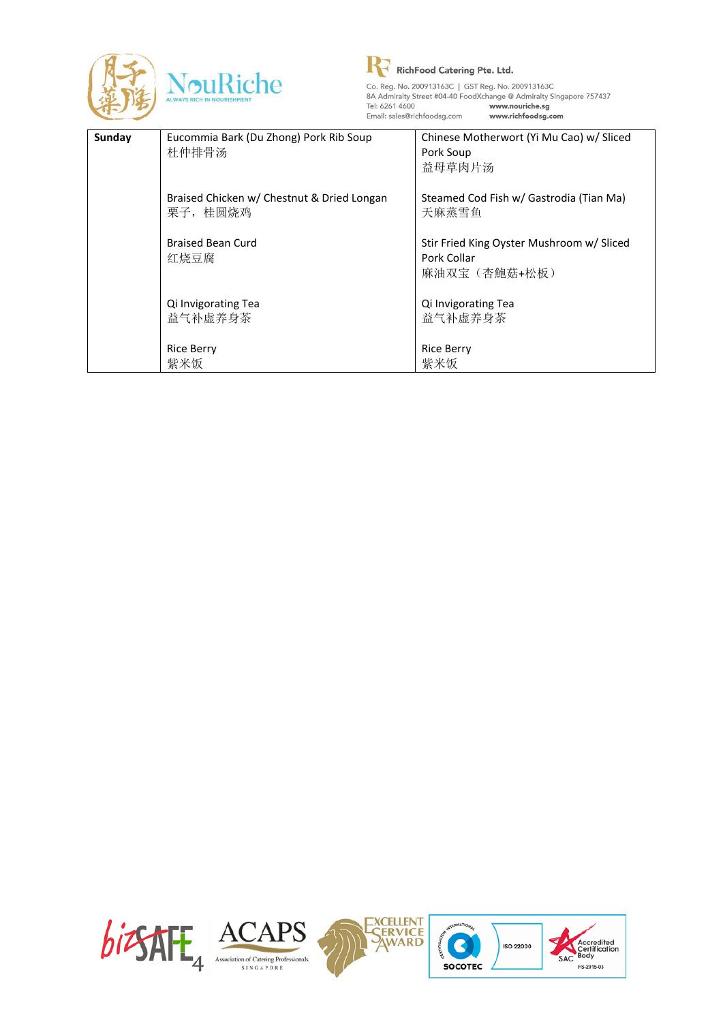

R RichFood Catering Pte. Ltd. Co. Reg. No. 200913163C | GST Reg. No. 200913163C<br>
8A Admiralty Street #04-40 FoodXchange @ Admiralty Singapore 757437<br>
Tei: 6261 4600<br>
Email: pale@ichkfoodca.com www.nutrible.edg.r Email: sales@richfoodsg.com www.richfoodsg.com

| Sunday | Eucommia Bark (Du Zhong) Pork Rib Soup<br>杜仲排骨汤        | Chinese Motherwort (Yi Mu Cao) w/ Sliced<br>Pork Soup<br>益母草肉片汤          |
|--------|--------------------------------------------------------|--------------------------------------------------------------------------|
|        | Braised Chicken w/ Chestnut & Dried Longan<br>栗子, 桂圆烧鸡 | Steamed Cod Fish w/ Gastrodia (Tian Ma)<br>天麻蒸雪鱼                         |
|        | <b>Braised Bean Curd</b><br>红烧豆腐                       | Stir Fried King Oyster Mushroom w/ Sliced<br>Pork Collar<br>麻油双宝(杏鮑菇+松板) |
|        | Qi Invigorating Tea<br>益气补虚养身茶                         | Qi Invigorating Tea<br>益气补虚养身茶                                           |
|        | <b>Rice Berry</b><br>紫米饭                               | <b>Rice Berry</b><br>紫米饭                                                 |

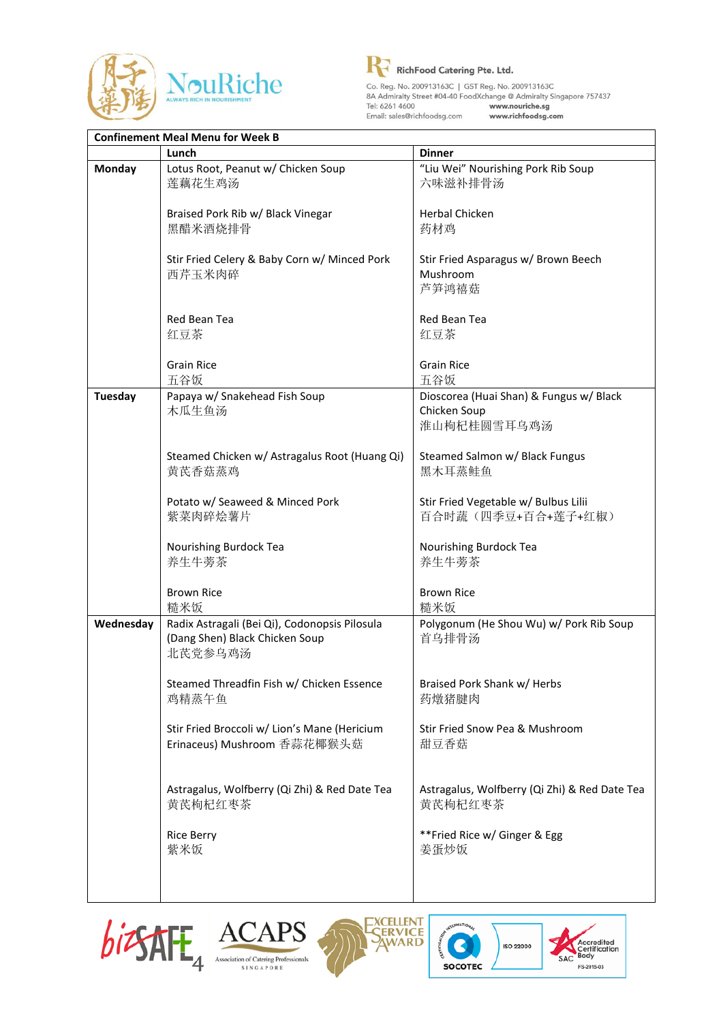



| <b>Confinement Meal Menu for Week B</b> |                                                                                            |                                                                        |
|-----------------------------------------|--------------------------------------------------------------------------------------------|------------------------------------------------------------------------|
|                                         | Lunch                                                                                      | <b>Dinner</b>                                                          |
| <b>Monday</b>                           | Lotus Root, Peanut w/ Chicken Soup<br>莲藕花生鸡汤                                               | "Liu Wei" Nourishing Pork Rib Soup<br>六味滋补排骨汤                          |
|                                         | Braised Pork Rib w/ Black Vinegar<br>黑醋米酒烧排骨                                               | <b>Herbal Chicken</b><br>药材鸡                                           |
|                                         | Stir Fried Celery & Baby Corn w/ Minced Pork<br>西芹玉米肉碎                                     | Stir Fried Asparagus w/ Brown Beech<br>Mushroom<br>芦笋鸿禧菇               |
|                                         | Red Bean Tea<br>红豆茶                                                                        | Red Bean Tea<br>红豆茶                                                    |
|                                         | <b>Grain Rice</b><br>五谷饭                                                                   | <b>Grain Rice</b><br>五谷饭                                               |
| Tuesday                                 | Papaya w/ Snakehead Fish Soup<br>木瓜生鱼汤                                                     | Dioscorea (Huai Shan) & Fungus w/ Black<br>Chicken Soup<br>淮山枸杞桂圆雪耳乌鸡汤 |
|                                         | Steamed Chicken w/ Astragalus Root (Huang Qi)<br>黄芪香菇蒸鸡                                    | Steamed Salmon w/ Black Fungus<br>黑木耳蒸鲑鱼                               |
|                                         | Potato w/ Seaweed & Minced Pork<br>紫菜肉碎烩薯片                                                 | Stir Fried Vegetable w/ Bulbus Lilii<br>百合时蔬(四季豆+百合+莲子+红椒)             |
|                                         | Nourishing Burdock Tea<br>养生牛蒡茶                                                            | Nourishing Burdock Tea<br>养生牛蒡茶                                        |
|                                         | <b>Brown Rice</b><br>糙米饭                                                                   | <b>Brown Rice</b><br>糙米饭                                               |
| Wednesday                               | Radix Astragali (Bei Qi), Codonopsis Pilosula<br>(Dang Shen) Black Chicken Soup<br>北芪党参乌鸡汤 | Polygonum (He Shou Wu) w/ Pork Rib Soup<br>首乌排骨汤                       |
|                                         | Steamed Threadfin Fish w/ Chicken Essence<br>鸡精蒸午鱼                                         | Braised Pork Shank w/ Herbs<br>药燉猪腱肉                                   |
|                                         | Stir Fried Broccoli w/ Lion's Mane (Hericium<br>Erinaceus) Mushroom 香蒜花椰猴头菇                | Stir Fried Snow Pea & Mushroom<br>甜豆香菇                                 |
|                                         | Astragalus, Wolfberry (Qi Zhi) & Red Date Tea<br>黄芪枸杞红枣茶                                   | Astragalus, Wolfberry (Qi Zhi) & Red Date Tea<br>黄芪枸杞红枣茶               |
|                                         | <b>Rice Berry</b><br>紫米饭                                                                   | **Fried Rice w/ Ginger & Egg<br>姜蛋炒饭                                   |
|                                         |                                                                                            |                                                                        |







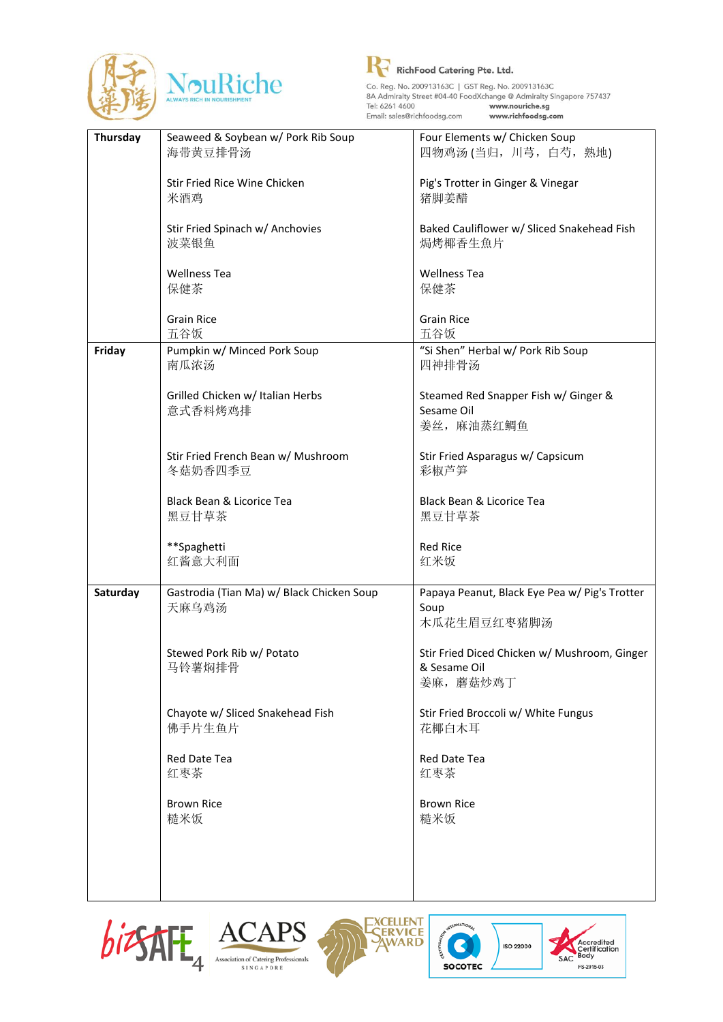



Co. Reg. No. 200913163C | GST Reg. No. 200913163C<br>
8A Admiralty Street #04-40 FoodXchange @ Admiralty Singapore 757437<br>
Tei: 6261 4600<br>
Email: pale@ichbfoodca.com www.noutrible.edg.r Email: sales@richfoodsg.com www.richfoodsg.com

| Thursday | Seaweed & Soybean w/ Pork Rib Soup        | Four Elements w/ Chicken Soup                 |
|----------|-------------------------------------------|-----------------------------------------------|
|          | 海带黄豆排骨汤                                   | 四物鸡汤(当归, 川芎, 白芍, 熟地)                          |
|          |                                           |                                               |
|          | Stir Fried Rice Wine Chicken              | Pig's Trotter in Ginger & Vinegar             |
|          | 米酒鸡                                       | 猪脚姜醋                                          |
|          |                                           |                                               |
|          | Stir Fried Spinach w/ Anchovies           | Baked Cauliflower w/ Sliced Snakehead Fish    |
|          | 波菜银鱼                                      | 焗烤椰香生魚片                                       |
|          |                                           |                                               |
|          |                                           |                                               |
|          | <b>Wellness Tea</b>                       | <b>Wellness Tea</b>                           |
|          | 保健茶                                       | 保健茶                                           |
|          |                                           |                                               |
|          | <b>Grain Rice</b>                         | <b>Grain Rice</b>                             |
|          | 五谷饭                                       | 五谷饭                                           |
| Friday   | Pumpkin w/ Minced Pork Soup               | "Si Shen" Herbal w/ Pork Rib Soup             |
|          | 南瓜浓汤                                      | 四神排骨汤                                         |
|          |                                           |                                               |
|          | Grilled Chicken w/ Italian Herbs          | Steamed Red Snapper Fish w/ Ginger &          |
|          | 意式香料烤鸡排                                   | Sesame Oil                                    |
|          |                                           |                                               |
|          |                                           | 姜丝, 麻油蒸红鲷鱼                                    |
|          |                                           |                                               |
|          | Stir Fried French Bean w/ Mushroom        | Stir Fried Asparagus w/ Capsicum              |
|          | 冬菇奶香四季豆                                   | 彩椒芦笋                                          |
|          |                                           |                                               |
|          | Black Bean & Licorice Tea                 | Black Bean & Licorice Tea                     |
|          | 黑豆甘草茶                                     | 黑豆甘草茶                                         |
|          |                                           |                                               |
|          | **Spaghetti                               | <b>Red Rice</b>                               |
|          | 红酱意大利面                                    | 红米饭                                           |
|          |                                           |                                               |
| Saturday | Gastrodia (Tian Ma) w/ Black Chicken Soup | Papaya Peanut, Black Eye Pea w/ Pig's Trotter |
|          | 天麻乌鸡汤                                     | Soup                                          |
|          |                                           |                                               |
|          |                                           | 木瓜花生眉豆红枣猪脚汤                                   |
|          |                                           |                                               |
|          | Stewed Pork Rib w/ Potato                 | Stir Fried Diced Chicken w/ Mushroom, Ginger  |
|          | 马铃薯焖排骨                                    | & Sesame Oil                                  |
|          |                                           | 姜麻, 蘑菇炒鸡丁                                     |
|          |                                           |                                               |
|          | Chayote w/ Sliced Snakehead Fish          | Stir Fried Broccoli w/ White Fungus           |
|          | 佛手片生鱼片                                    | 花椰白木耳                                         |
|          |                                           |                                               |
|          | Red Date Tea                              | Red Date Tea                                  |
|          | 红枣茶                                       | 红枣茶                                           |
|          |                                           |                                               |
|          | <b>Brown Rice</b>                         | <b>Brown Rice</b>                             |
|          |                                           |                                               |
|          | 糙米饭                                       | 糙米饭                                           |
|          |                                           |                                               |
|          |                                           |                                               |
|          |                                           |                                               |
|          |                                           |                                               |







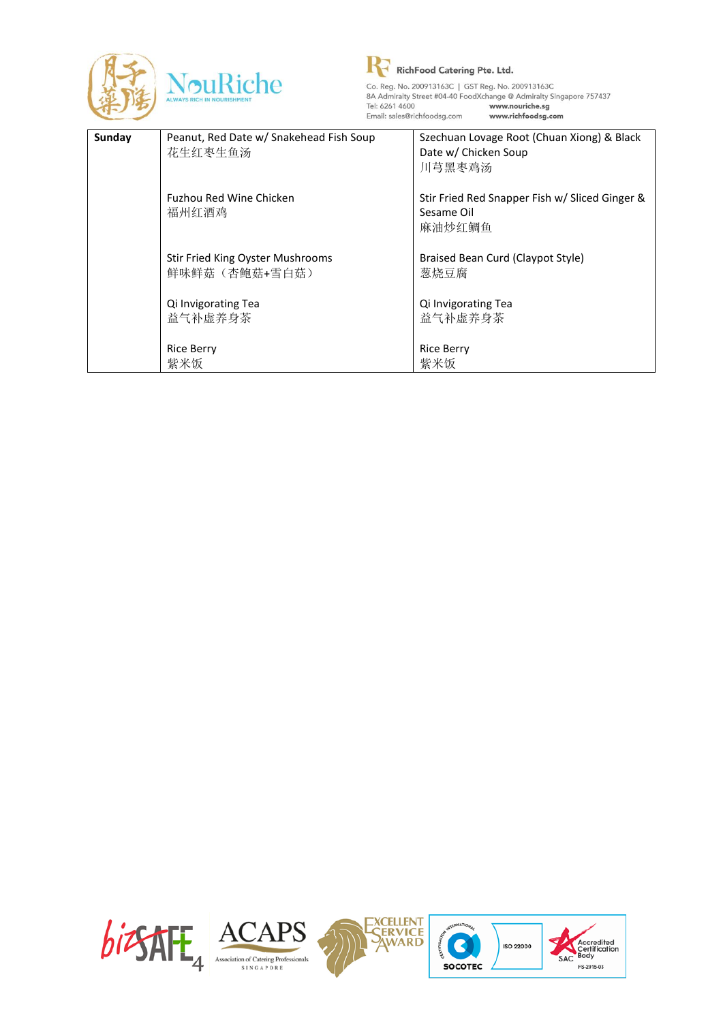

R RichFood Catering Pte. Ltd. Co. Reg. No. 200913163C | GST Reg. No. 200913163C<br>
8A Admiralty Street #04-40 FoodXchange @ Admiralty Singapore 757437<br>
Tei: 6261 4600<br>
Email: pale@ichkfoodca.com www.nutrible.edg.r Email: sales@richfoodsg.com www.richfoodsg.com

| Sunday | Peanut, Red Date w/ Snakehead Fish Soup | Szechuan Lovage Root (Chuan Xiong) & Black     |
|--------|-----------------------------------------|------------------------------------------------|
|        | 花生红枣生鱼汤                                 | Date w/ Chicken Soup                           |
|        |                                         | 川芎黑枣鸡汤                                         |
|        |                                         |                                                |
|        | Fuzhou Red Wine Chicken                 | Stir Fried Red Snapper Fish w/ Sliced Ginger & |
|        | 福州红酒鸡                                   | Sesame Oil                                     |
|        |                                         | 麻油炒红鲷鱼                                         |
|        |                                         |                                                |
|        | Stir Fried King Oyster Mushrooms        | Braised Bean Curd (Claypot Style)              |
|        | 鲜味鲜菇(杏鲍菇+雪白菇)                           | 葱烧豆腐                                           |
|        | Qi Invigorating Tea                     | Qi Invigorating Tea                            |
|        | 益气补虚养身茶                                 | 益气补虚养身茶                                        |
|        |                                         |                                                |
|        | <b>Rice Berry</b>                       | <b>Rice Berry</b>                              |
|        | 紫米饭                                     | 紫米饭                                            |
|        |                                         |                                                |

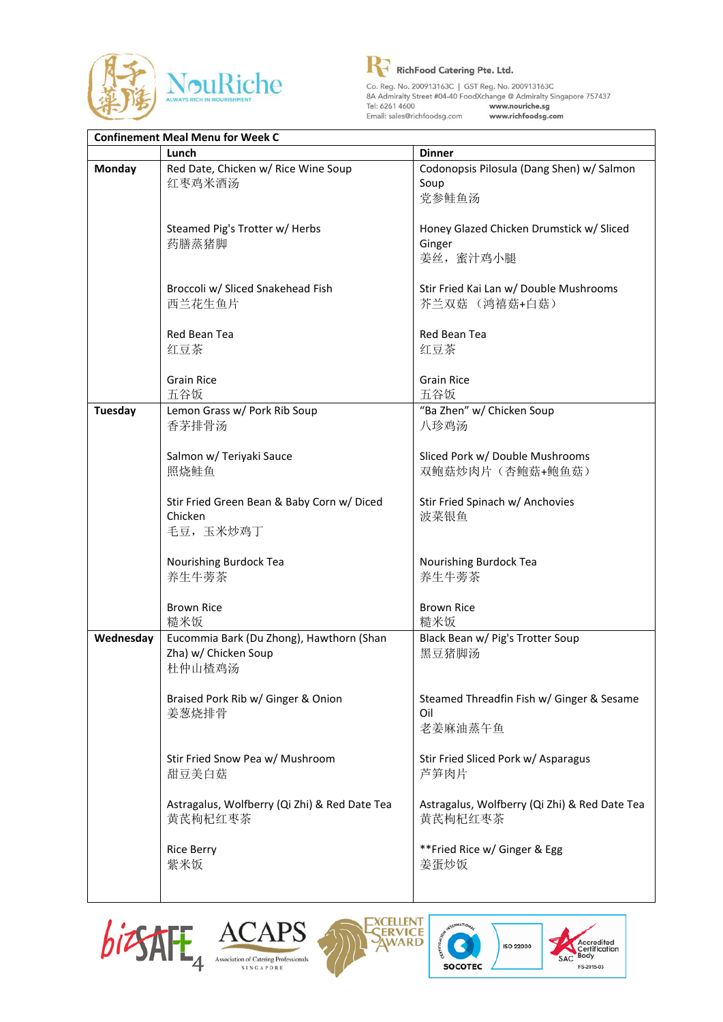



Co. Reg. No. 200913163C | GST Reg. No. 200913163C<br>
8A Admiralty Street #04-40 FoodXchange @ Admiralty Singapore 757437<br>
Tei: 6261 4600<br>
Email: pale@ichbfoodca.com www.noutribe.edg.r Email: sales@richfoodsg.com www.richfoodsg.com

|                | <b>Confinement Meal Menu for Week C</b>                                    |                                                                 |  |
|----------------|----------------------------------------------------------------------------|-----------------------------------------------------------------|--|
|                | Lunch                                                                      | <b>Dinner</b>                                                   |  |
| <b>Monday</b>  | Red Date, Chicken w/ Rice Wine Soup<br>红枣鸡米酒汤                              | Codonopsis Pilosula (Dang Shen) w/ Salmon<br>Soup<br>党参鲑鱼汤      |  |
|                | Steamed Pig's Trotter w/ Herbs<br>药膳蒸猪脚                                    | Honey Glazed Chicken Drumstick w/ Sliced<br>Ginger<br>姜丝, 蜜汁鸡小腿 |  |
|                | Broccoli w/ Sliced Snakehead Fish<br>西兰花生鱼片                                | Stir Fried Kai Lan w/ Double Mushrooms<br>芥兰双菇 (鸿禧菇+白菇)         |  |
|                | Red Bean Tea<br>红豆茶                                                        | Red Bean Tea<br>红豆茶                                             |  |
|                | <b>Grain Rice</b><br>五谷饭                                                   | <b>Grain Rice</b><br>五谷饭                                        |  |
| <b>Tuesday</b> | Lemon Grass w/ Pork Rib Soup<br>香茅排骨汤                                      | "Ba Zhen" w/ Chicken Soup<br>八珍鸡汤                               |  |
|                | Salmon w/ Teriyaki Sauce<br>照烧鲑鱼                                           | Sliced Pork w/ Double Mushrooms<br>双鲍菇炒肉片(杏鲍菇+鲍鱼菇)              |  |
|                | Stir Fried Green Bean & Baby Corn w/ Diced<br>Chicken<br>毛豆, 玉米炒鸡丁         | Stir Fried Spinach w/ Anchovies<br>波菜银鱼                         |  |
|                | Nourishing Burdock Tea<br>养生牛蒡茶                                            | Nourishing Burdock Tea<br>养生牛蒡茶                                 |  |
|                | <b>Brown Rice</b><br>糙米饭                                                   | <b>Brown Rice</b><br>糙米饭                                        |  |
| Wednesday      | Eucommia Bark (Du Zhong), Hawthorn (Shan<br>Zha) w/ Chicken Soup<br>杜仲山楂鸡汤 | Black Bean w/ Pig's Trotter Soup<br>黑豆猪脚汤                       |  |
|                | Braised Pork Rib w/ Ginger & Onion<br>姜葱烧排骨                                | Steamed Threadfin Fish w/ Ginger & Sesame<br>Oil<br>老姜麻油蒸午鱼     |  |
|                | Stir Fried Snow Pea w/ Mushroom<br>甜豆美白菇                                   | Stir Fried Sliced Pork w/ Asparagus<br>芦笋肉片                     |  |
|                | Astragalus, Wolfberry (Qi Zhi) & Red Date Tea<br>黄芪枸杞红枣茶                   | Astragalus, Wolfberry (Qi Zhi) & Red Date Tea<br>黄芪枸杞红枣茶        |  |
|                | <b>Rice Berry</b><br>紫米饭                                                   | **Fried Rice w/ Ginger & Egg<br>姜蛋炒饭                            |  |







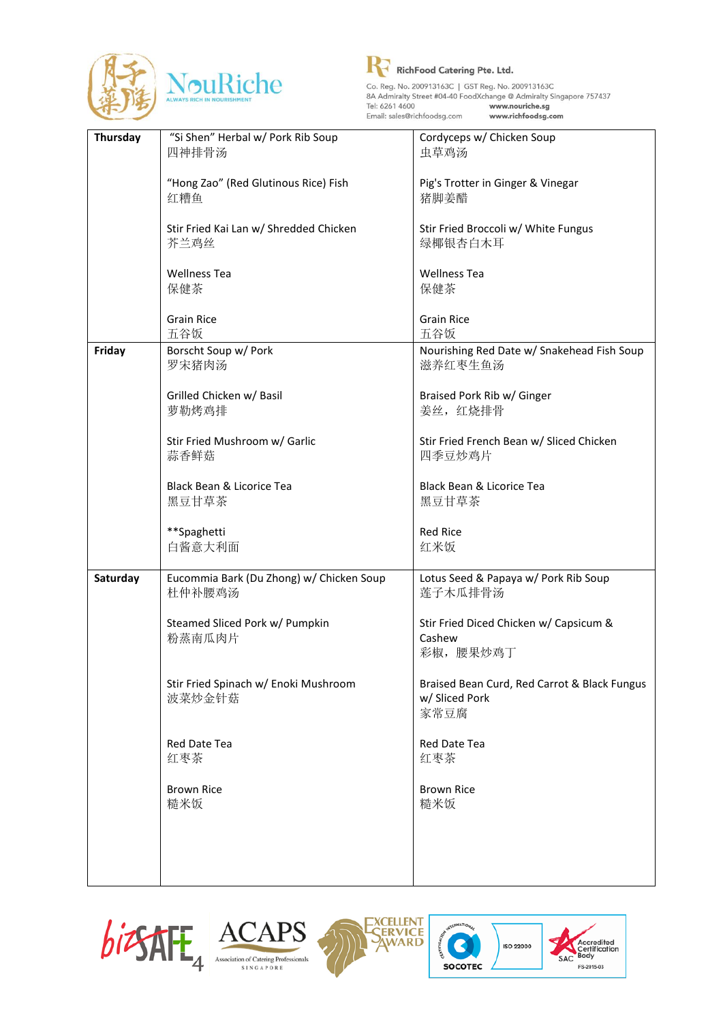



| Thursday | "Si Shen" Herbal w/ Pork Rib Soup        | Cordyceps w/ Chicken Soup                    |
|----------|------------------------------------------|----------------------------------------------|
|          | 四神排骨汤                                    | 虫草鸡汤                                         |
|          |                                          |                                              |
|          | "Hong Zao" (Red Glutinous Rice) Fish     |                                              |
|          |                                          | Pig's Trotter in Ginger & Vinegar            |
|          | 红糟鱼                                      | 猪脚姜醋                                         |
|          |                                          |                                              |
|          | Stir Fried Kai Lan w/ Shredded Chicken   | Stir Fried Broccoli w/ White Fungus          |
|          | 芥兰鸡丝                                     | 绿椰银杏白木耳                                      |
|          |                                          |                                              |
|          | <b>Wellness Tea</b>                      | <b>Wellness Tea</b>                          |
|          | 保健茶                                      | 保健茶                                          |
|          |                                          |                                              |
|          | <b>Grain Rice</b>                        | <b>Grain Rice</b>                            |
|          | 五谷饭                                      | 五谷饭                                          |
|          |                                          |                                              |
| Friday   | Borscht Soup w/ Pork                     | Nourishing Red Date w/ Snakehead Fish Soup   |
|          | 罗宋猪肉汤                                    | 滋养红枣生鱼汤                                      |
|          |                                          |                                              |
|          | Grilled Chicken w/ Basil                 | Braised Pork Rib w/ Ginger                   |
|          | 萝勒烤鸡排                                    | 姜丝, 红烧排骨                                     |
|          |                                          |                                              |
|          | Stir Fried Mushroom w/ Garlic            | Stir Fried French Bean w/ Sliced Chicken     |
|          | 蒜香鲜菇                                     | 四季豆炒鸡片                                       |
|          |                                          |                                              |
|          |                                          | Black Bean & Licorice Tea                    |
|          | Black Bean & Licorice Tea                |                                              |
|          | 黑豆甘草茶                                    | 黑豆甘草茶                                        |
|          |                                          |                                              |
|          | **Spaghetti                              | <b>Red Rice</b>                              |
|          | 白酱意大利面                                   | 红米饭                                          |
|          |                                          |                                              |
| Saturday | Eucommia Bark (Du Zhong) w/ Chicken Soup | Lotus Seed & Papaya w/ Pork Rib Soup         |
|          | 杜仲补腰鸡汤                                   | 莲子木瓜排骨汤                                      |
|          |                                          |                                              |
|          | Steamed Sliced Pork w/ Pumpkin           | Stir Fried Diced Chicken w/ Capsicum &       |
|          | 粉蒸南瓜肉片                                   | Cashew                                       |
|          |                                          | 彩椒,腰果炒鸡丁                                     |
|          |                                          |                                              |
|          |                                          |                                              |
|          | Stir Fried Spinach w/ Enoki Mushroom     | Braised Bean Curd, Red Carrot & Black Fungus |
|          | 波菜炒金针菇                                   | w/ Sliced Pork                               |
|          |                                          | 家常豆腐                                         |
|          |                                          |                                              |
|          | Red Date Tea                             | Red Date Tea                                 |
|          | 红枣茶                                      | 红枣茶                                          |
|          |                                          |                                              |
|          | <b>Brown Rice</b>                        | <b>Brown Rice</b>                            |
|          | 糙米饭                                      | 糙米饭                                          |
|          |                                          |                                              |
|          |                                          |                                              |
|          |                                          |                                              |
|          |                                          |                                              |
|          |                                          |                                              |
|          |                                          |                                              |







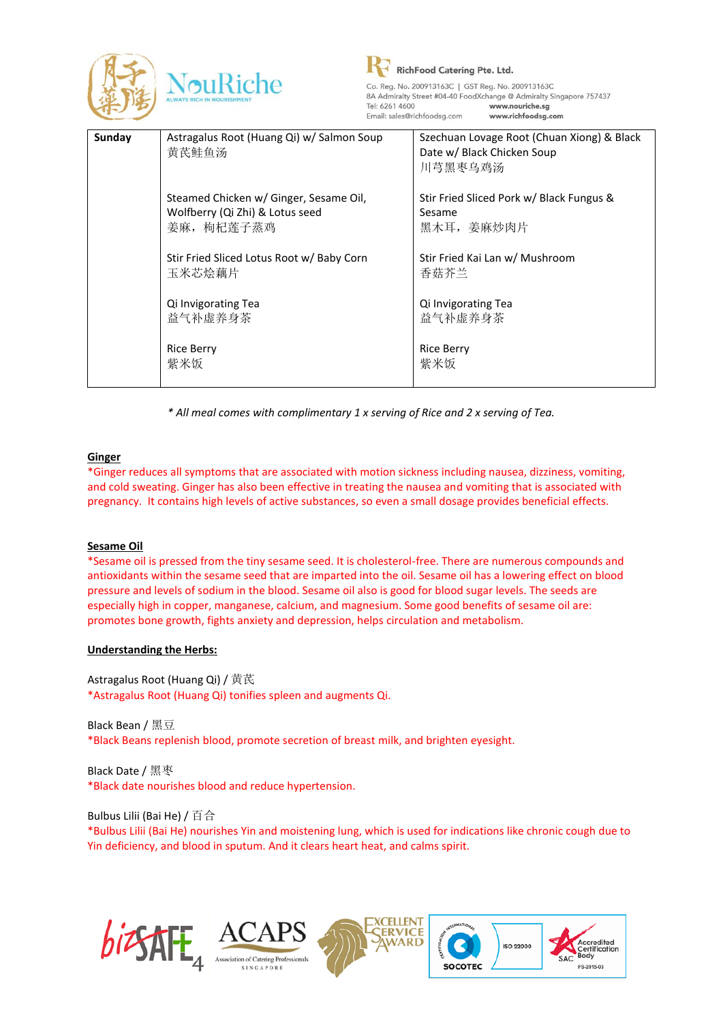

| Sunday | Astragalus Root (Huang Qi) w/ Salmon Soup<br>黄芪鲑鱼汤                                      | Szechuan Lovage Root (Chuan Xiong) & Black<br>Date w/ Black Chicken Soup<br>川芎黑枣乌鸡汤 |
|--------|-----------------------------------------------------------------------------------------|-------------------------------------------------------------------------------------|
|        | Steamed Chicken w/ Ginger, Sesame Oil,<br>Wolfberry (Qi Zhi) & Lotus seed<br>姜麻, 枸杞莲子蒸鸡 | Stir Fried Sliced Pork w/ Black Fungus &<br>Sesame<br>黑木耳, 姜麻炒肉片                    |
|        | Stir Fried Sliced Lotus Root w/ Baby Corn<br>玉米芯烩藕片                                     | Stir Fried Kai Lan w/ Mushroom<br>香菇芥兰                                              |
|        | Qi Invigorating Tea<br>益气补虚养身茶                                                          | Qi Invigorating Tea<br>益气补虚养身茶                                                      |
|        | <b>Rice Berry</b><br>紫米饭                                                                | <b>Rice Berry</b><br>紫米饭                                                            |

*\* All meal comes with complimentary 1 x serving of Rice and 2 x serving of Tea.*

## **Ginger**

\*Ginger reduces all symptoms that are associated with motion sickness including nausea, dizziness, vomiting, and cold sweating. Ginger has also been effective in treating the nausea and vomiting that is associated with pregnancy. It contains high levels of active substances, so even a small dosage provides beneficial effects.

#### **Sesame Oil**

\*Sesame oil is pressed from the tiny sesame seed. It is cholesterol-free. There are numerous compounds and antioxidants within the sesame seed that are imparted into the oil. Sesame oil has a lowering effect on blood pressure and levels of sodium in the blood. Sesame oil also is good for blood sugar levels. The seeds are especially high in copper, manganese, calcium, and magnesium. Some good benefits of sesame oil are: promotes bone growth, fights anxiety and depression, helps circulation and metabolism.

#### **Understanding the Herbs:**

Astragalus Root (Huang Qi) / 黄芪 \*Astragalus Root (Huang Qi) tonifies spleen and augments Qi.

Black Bean / 黑豆 \*Black Beans replenish blood, promote secretion of breast milk, and brighten eyesight.

Black Date / 黑枣 \*Black date nourishes blood and reduce hypertension.

Bulbus Lilii (Bai He) / 百合

\*Bulbus Lilii (Bai He) nourishes Yin and moistening lung, which is used for indications like chronic cough due to Yin deficiency, and blood in sputum. And it clears heart heat, and calms spirit.

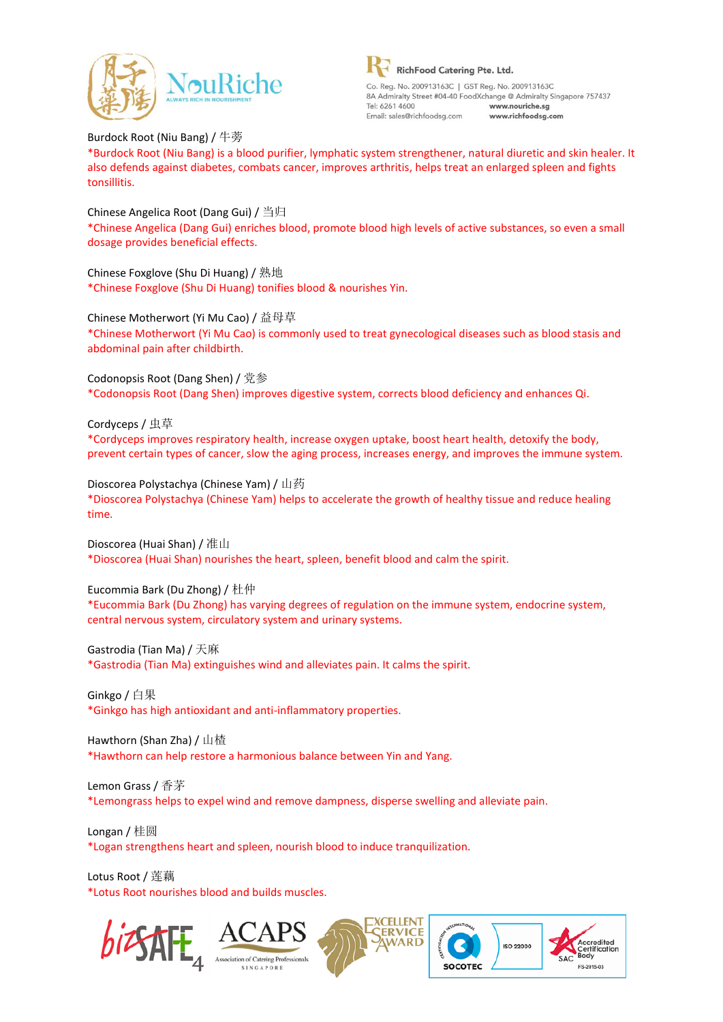

Burdock Root (Niu Bang) / 牛蒡 \*Burdock Root (Niu Bang) is a blood purifier, lymphatic system strengthener, natural diuretic and skin healer. It also defends against diabetes, combats cancer, improves arthritis, helps treat an enlarged spleen and fights tonsillitis.

Chinese Angelica Root (Dang Gui) / 当归 \*Chinese Angelica (Dang Gui) enriches blood, promote blood high levels of active substances, so even a small dosage provides beneficial effects.

Chinese Foxglove (Shu Di Huang) / 熟地 \*Chinese Foxglove (Shu Di Huang) tonifies blood & nourishes Yin.

Chinese Motherwort (Yi Mu Cao) / 益母草 \*Chinese Motherwort (Yi Mu Cao) is commonly used to treat gynecological diseases such as blood stasis and abdominal pain after childbirth.

Codonopsis Root (Dang Shen) / 党参 \*Codonopsis Root (Dang Shen) improves digestive system, corrects blood deficiency and enhances Qi.

Cordyceps / 虫草 \*Cordyceps improves respiratory health, increase oxygen uptake, boost heart health, detoxify the body, prevent certain types of cancer, slow the aging process, increases energy, and improves the immune system.

Dioscorea Polystachya (Chinese Yam) / 山药 \*Dioscorea Polystachya (Chinese Yam) helps to accelerate the growth of healthy tissue and reduce healing time.

Dioscorea (Huai Shan) / 准山 \*Dioscorea (Huai Shan) nourishes the heart, spleen, benefit blood and calm the spirit.

Eucommia Bark (Du Zhong) / 杜仲

\*Eucommia Bark (Du Zhong) has varying degrees of regulation on the immune system, endocrine system, central nervous system, circulatory system and urinary systems.

Gastrodia (Tian Ma) / 天麻

\*Gastrodia (Tian Ma) extinguishes wind and alleviates pain. It calms the spirit.

Ginkgo / 白果 \*Ginkgo has high antioxidant and anti-inflammatory properties.

Hawthorn (Shan Zha) / 山楂 \*Hawthorn can help restore a harmonious balance between Yin and Yang.

Lemon Grass / 香茅 \*Lemongrass helps to expel wind and remove dampness, disperse swelling and alleviate pain.

Longan / 桂圆 \*Logan strengthens heart and spleen, nourish blood to induce tranquilization.

Lotus Root / 莲藕 \*Lotus Root nourishes blood and builds muscles.







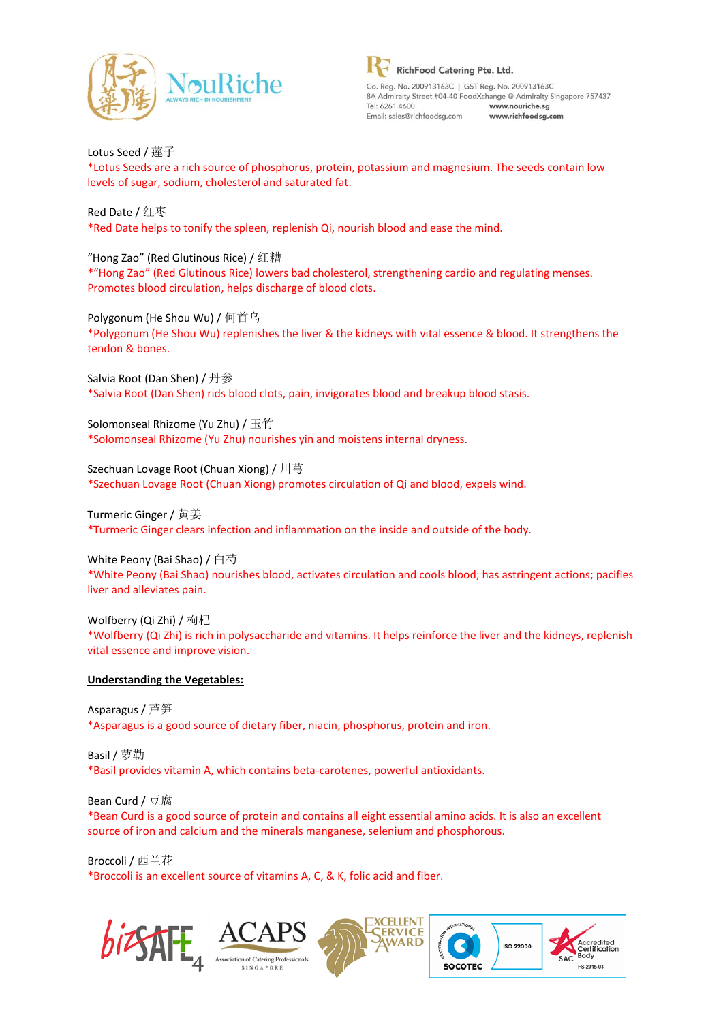

Lotus Seed / 莲子 \*Lotus Seeds are a rich source of phosphorus, protein, potassium and magnesium. The seeds contain low levels of sugar, sodium, cholesterol and saturated fat.

Red Date / 红枣 \*Red Date helps to tonify the spleen, replenish Qi, nourish blood and ease the mind.

"Hong Zao" (Red Glutinous Rice) / 红糟 \*"Hong Zao" (Red Glutinous Rice) lowers bad cholesterol, strengthening cardio and regulating menses. Promotes blood circulation, helps discharge of blood clots.

Polygonum (He Shou Wu) / 何首乌 \*Polygonum (He Shou Wu) replenishes the liver & the kidneys with vital essence & blood. It strengthens the tendon & bones.

Salvia Root (Dan Shen) / 丹参 \*Salvia Root (Dan Shen) rids blood clots, pain, invigorates blood and breakup blood stasis.

Solomonseal Rhizome (Yu Zhu) / 玉竹 \*Solomonseal Rhizome (Yu Zhu) nourishes yin and moistens internal dryness.

Szechuan Lovage Root (Chuan Xiong) / 川芎 \*Szechuan Lovage Root (Chuan Xiong) promotes circulation of Qi and blood, expels wind.

Turmeric Ginger / 黄姜 \*Turmeric Ginger clears infection and inflammation on the inside and outside of the body.

White Peony (Bai Shao) / 白芍 \*White Peony (Bai Shao) nourishes blood, activates circulation and cools blood; has astringent actions; pacifies liver and alleviates pain.

Wolfberry (Qi Zhi) / 枸杞 \*Wolfberry (Qi Zhi) is rich in polysaccharide and vitamins. It helps reinforce the liver and the kidneys, replenish vital essence and improve vision.

# **Understanding the Vegetables:**

Asparagus / 芦笋 \*Asparagus is a good source of dietary fiber, niacin, phosphorus, protein and iron.

Basil / 萝勒 \*Basil provides vitamin A, which contains beta-carotenes, powerful antioxidants.

Bean Curd / 豆腐 \*Bean Curd is a good source of protein and contains all eight essential amino acids. It is also an excellent source of iron and calcium and the minerals manganese, selenium and phosphorous.

Broccoli / 西兰花 \*Broccoli is an excellent source of vitamins A, C, & K, folic acid and fiber.







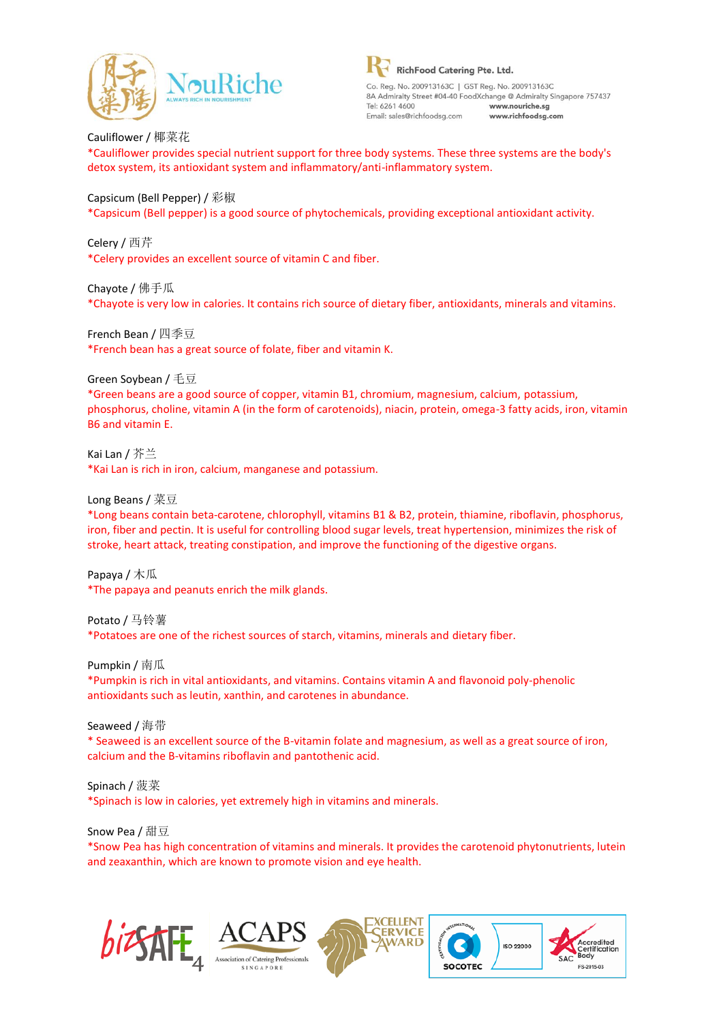

Cauliflower / 椰菜花 \*Cauliflower provides special nutrient support for three body systems. These three systems are the body's detox system, its antioxidant system and inflammatory/anti-inflammatory system.

## Capsicum (Bell Pepper) / 彩椒

\*Capsicum (Bell pepper) is a good source of phytochemicals, providing exceptional antioxidant activity.

Celery / 西芹 \*Celery provides an excellent source of vitamin C and fiber.

Chayote / 佛手瓜 \*Chayote is very low in calories. It contains rich source of dietary fiber, antioxidants, minerals and vitamins.

French Bean / 四季豆 \*French bean has a great source of folate, fiber and vitamin K.

Green Soybean / 毛豆

\*Green beans are a good source of copper, vitamin B1, chromium, magnesium, calcium, potassium, phosphorus, choline, vitamin A (in the form of carotenoids), niacin, protein, omega-3 fatty acids, iron, vitamin B6 and vitamin E.

Kai Lan / 芥兰 \*Kai Lan is rich in iron, calcium, manganese and potassium.

Long Beans / 菜豆

\*Long beans contain beta-carotene, chlorophyll, vitamins B1 & B2, protein, thiamine, riboflavin, phosphorus, iron, fiber and pectin. It is useful for controlling blood sugar levels, treat hypertension, minimizes the risk of stroke, heart attack, treating constipation, and improve the functioning of the digestive organs.

Papaya / 木瓜 \*The papaya and peanuts enrich the milk glands.

Potato / 马铃薯 \*Potatoes are one of the richest sources of starch, vitamins, minerals and dietary fiber.

Pumpkin / 南瓜 \*Pumpkin is rich in vital antioxidants, and vitamins. Contains vitamin A and flavonoid poly-phenolic antioxidants such as leutin, xanthin, and carotenes in abundance.

Seaweed / 海带 \* Seaweed is an excellent source of the B-vitamin folate and magnesium, as well as a great source of iron, calcium and the B-vitamins riboflavin and pantothenic acid.

Spinach / 菠菜 \*Spinach is low in calories, yet extremely high in vitamins and minerals.

Snow Pea / 甜豆 \*Snow Pea has high concentration of vitamins and minerals. It provides the carotenoid phytonutrients, lutein and zeaxanthin, which are known to promote vision and eye health.